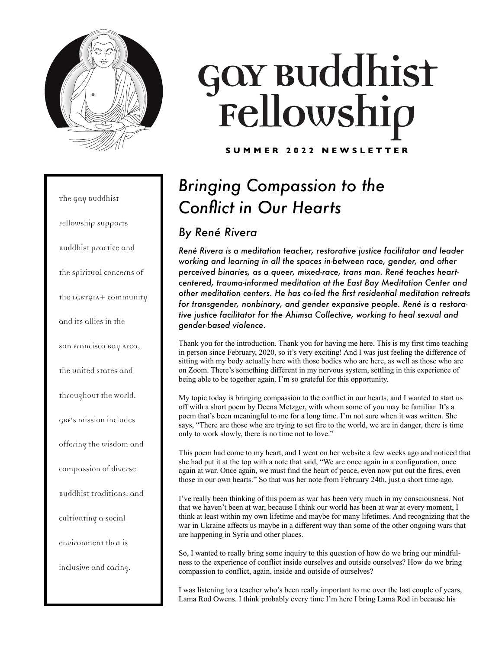

The Gay Buddhist Fellowship supports Buddhist practice and the spiritual concerns of the LGBTQIA+ community and its allies in the San Francisco Bay Area, the United States and throughout the World. GBF's mission includes offering the wisdom and compassion of diverse Buddhist traditions, and cultivating a social environment that is inclusive and caring.

# Gov Buddhist<br>Fellowship

**SUMMER 2022 NEWSLETTER**

# *Bringing Compassion to the Conflict in Our Hearts*

## *By René Rivera*

*René Rivera is a meditation teacher, restorative justice facilitator and leader working and learning in all the spaces in-between race, gender, and other perceived binaries, as a queer, mixed-race, trans man. René teaches heartcentered, trauma-informed meditation at the East Bay Meditation Center and other meditation centers. He has co-led the first residential meditation retreats for transgender, nonbinary, and gender expansive people. René is a restorative justice facilitator for the Ahimsa Collective, working to heal sexual and gender-based violence.*

Thank you for the introduction. Thank you for having me here. This is my first time teaching in person since February, 2020, so it's very exciting! And I was just feeling the difference of sitting with my body actually here with those bodies who are here, as well as those who are on Zoom. There's something different in my nervous system, settling in this experience of being able to be together again. I'm so grateful for this opportunity.

My topic today is bringing compassion to the conflict in our hearts, and I wanted to start us off with a short poem by Deena Metzger, with whom some of you may be familiar. It's a poem that's been meaningful to me for a long time. I'm not sure when it was written. She says, "There are those who are trying to set fire to the world, we are in danger, there is time only to work slowly, there is no time not to love."

This poem had come to my heart, and I went on her website a few weeks ago and noticed that she had put it at the top with a note that said, "We are once again in a configuration, once again at war. Once again, we must find the heart of peace, even now put out the fires, even those in our own hearts." So that was her note from February 24th, just a short time ago.

I've really been thinking of this poem as war has been very much in my consciousness. Not that we haven't been at war, because I think our world has been at war at every moment, I think at least within my own lifetime and maybe for many lifetimes. And recognizing that the war in Ukraine affects us maybe in a different way than some of the other ongoing wars that are happening in Syria and other places.

So, I wanted to really bring some inquiry to this question of how do we bring our mindfulness to the experience of conflict inside ourselves and outside ourselves? How do we bring compassion to conflict, again, inside and outside of ourselves?

I was listening to a teacher who's been really important to me over the last couple of years, Lama Rod Owens. I think probably every time I'm here I bring Lama Rod in because his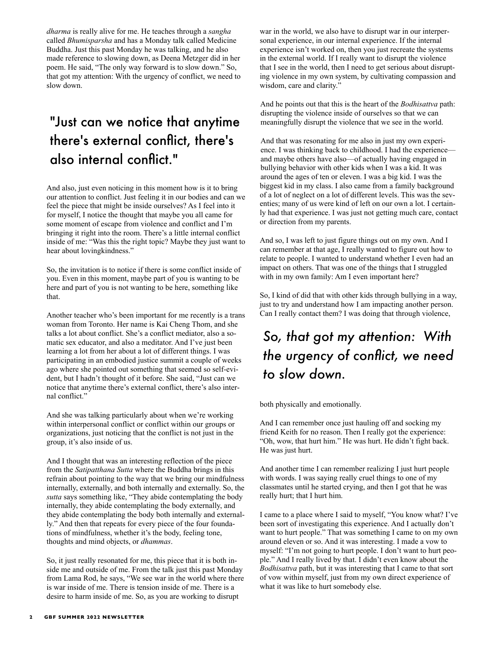*dharma* is really alive for me. He teaches through a *sangha* called *Bhumisparsha* and has a Monday talk called Medicine Buddha. Just this past Monday he was talking, and he also made reference to slowing down, as Deena Metzger did in her poem. He said, "The only way forward is to slow down." So, that got my attention: With the urgency of conflict, we need to slow down.

## "Just can we notice that anytime there's external conflict, there's also internal conflict."

And also, just even noticing in this moment how is it to bring our attention to conflict. Just feeling it in our bodies and can we feel the piece that might be inside ourselves? As I feel into it for myself, I notice the thought that maybe you all came for some moment of escape from violence and conflict and I'm bringing it right into the room. There's a little internal conflict inside of me: "Was this the right topic? Maybe they just want to hear about lovingkindness."

So, the invitation is to notice if there is some conflict inside of you. Even in this moment, maybe part of you is wanting to be here and part of you is not wanting to be here, something like that.

Another teacher who's been important for me recently is a trans woman from Toronto. Her name is Kai Cheng Thom, and she talks a lot about conflict. She's a conflict mediator, also a somatic sex educator, and also a meditator. And I've just been learning a lot from her about a lot of different things. I was participating in an embodied justice summit a couple of weeks ago where she pointed out something that seemed so self-evident, but I hadn't thought of it before. She said, "Just can we notice that anytime there's external conflict, there's also internal conflict."

And she was talking particularly about when we're working within interpersonal conflict or conflict within our groups or organizations, just noticing that the conflict is not just in the group, it's also inside of us.

And I thought that was an interesting reflection of the piece from the *Satipatthana Sutta* where the Buddha brings in this refrain about pointing to the way that we bring our mindfulness internally, externally, and both internally and externally. So, the *sutta* says something like, "They abide contemplating the body internally, they abide contemplating the body externally, and they abide contemplating the body both internally and externally." And then that repeats for every piece of the four foundations of mindfulness, whether it's the body, feeling tone, thoughts and mind objects, or *dhammas*.

So, it just really resonated for me, this piece that it is both inside me and outside of me. From the talk just this past Monday from Lama Rod, he says, "We see war in the world where there is war inside of me. There is tension inside of me. There is a desire to harm inside of me. So, as you are working to disrupt

war in the world, we also have to disrupt war in our interpersonal experience, in our internal experience. If the internal experience isn't worked on, then you just recreate the systems in the external world. If I really want to disrupt the violence that I see in the world, then I need to get serious about disrupting violence in my own system, by cultivating compassion and wisdom, care and clarity."

And he points out that this is the heart of the *Bodhisattva* path: disrupting the violence inside of ourselves so that we can meaningfully disrupt the violence that we see in the world.

And that was resonating for me also in just my own experience. I was thinking back to childhood. I had the experience and maybe others have also—of actually having engaged in bullying behavior with other kids when I was a kid. It was around the ages of ten or eleven. I was a big kid. I was the biggest kid in my class. I also came from a family background of a lot of neglect on a lot of different levels. This was the seventies; many of us were kind of left on our own a lot. I certainly had that experience. I was just not getting much care, contact or direction from my parents.

And so, I was left to just figure things out on my own. And I can remember at that age, I really wanted to figure out how to relate to people. I wanted to understand whether I even had an impact on others. That was one of the things that I struggled with in my own family: Am I even important here?

So, I kind of did that with other kids through bullying in a way, just to try and understand how I am impacting another person. Can I really contact them? I was doing that through violence,

# *So, that got my attention: With the urgency of conflict, we need to slow down.*

both physically and emotionally.

And I can remember once just hauling off and socking my friend Keith for no reason. Then I really got the experience: "Oh, wow, that hurt him." He was hurt. He didn't fight back. He was just hurt.

And another time I can remember realizing I just hurt people with words. I was saying really cruel things to one of my classmates until he started crying, and then I got that he was really hurt; that I hurt him.

I came to a place where I said to myself, "You know what? I've been sort of investigating this experience. And I actually don't want to hurt people." That was something I came to on my own around eleven or so. And it was interesting. I made a vow to myself: "I'm not going to hurt people. I don't want to hurt people." And I really lived by that. I didn't even know about the *Bodhisattva* path, but it was interesting that I came to that sort of vow within myself, just from my own direct experience of what it was like to hurt somebody else.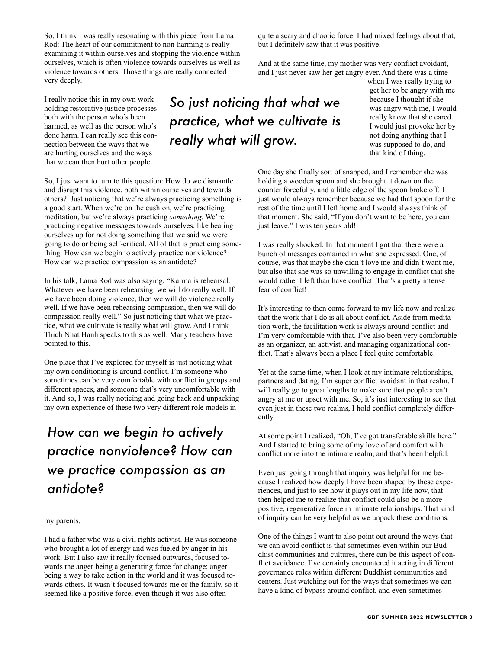So, I think I was really resonating with this piece from Lama Rod: The heart of our commitment to non-harming is really examining it within ourselves and stopping the violence within ourselves, which is often violence towards ourselves as well as violence towards others. Those things are really connected very deeply.

I really notice this in my own work holding restorative justice processes both with the person who's been harmed, as well as the person who's done harm. I can really see this connection between the ways that we are hurting ourselves and the ways that we can then hurt other people.

So, I just want to turn to this question: How do we dismantle and disrupt this violence, both within ourselves and towards others? Just noticing that we're always practicing something is a good start. When we're on the cushion, we're practicing meditation, but we're always practicing *something*. We're practicing negative messages towards ourselves, like beating ourselves up for not doing something that we said we were going to do or being self-critical. All of that is practicing something. How can we begin to actively practice nonviolence? How can we practice compassion as an antidote?

In his talk, Lama Rod was also saying, "Karma is rehearsal. Whatever we have been rehearsing, we will do really well. If we have been doing violence, then we will do violence really well. If we have been rehearsing compassion, then we will do compassion really well." So just noticing that what we practice, what we cultivate is really what will grow. And I think Thich Nhat Hanh speaks to this as well. Many teachers have pointed to this.

One place that I've explored for myself is just noticing what my own conditioning is around conflict. I'm someone who sometimes can be very comfortable with conflict in groups and different spaces, and someone that's very uncomfortable with it. And so, I was really noticing and going back and unpacking my own experience of these two very different role models in

# *How can we begin to actively practice nonviolence? How can we practice compassion as an antidote?*

## my parents.

I had a father who was a civil rights activist. He was someone who brought a lot of energy and was fueled by anger in his work. But I also saw it really focused outwards, focused towards the anger being a generating force for change; anger being a way to take action in the world and it was focused towards others. It wasn't focused towards me or the family, so it seemed like a positive force, even though it was also often

*So just noticing that what we practice, what we cultivate is really what will grow.*

quite a scary and chaotic force. I had mixed feelings about that, but I definitely saw that it was positive.

And at the same time, my mother was very conflict avoidant, and I just never saw her get angry ever. And there was a time

when I was really trying to get her to be angry with me because I thought if she was angry with me, I would really know that she cared. I would just provoke her by not doing anything that I was supposed to do, and that kind of thing.

One day she finally sort of snapped, and I remember she was holding a wooden spoon and she brought it down on the counter forcefully, and a little edge of the spoon broke off. I just would always remember because we had that spoon for the rest of the time until I left home and I would always think of that moment. She said, "If you don't want to be here, you can just leave." I was ten years old!

I was really shocked. In that moment I got that there were a bunch of messages contained in what she expressed. One, of course, was that maybe she didn't love me and didn't want me, but also that she was so unwilling to engage in conflict that she would rather I left than have conflict. That's a pretty intense fear of conflict!

It's interesting to then come forward to my life now and realize that the work that I do is all about conflict. Aside from meditation work, the facilitation work is always around conflict and I'm very comfortable with that. I've also been very comfortable as an organizer, an activist, and managing organizational conflict. That's always been a place I feel quite comfortable.

Yet at the same time, when I look at my intimate relationships, partners and dating, I'm super conflict avoidant in that realm. I will really go to great lengths to make sure that people aren't angry at me or upset with me. So, it's just interesting to see that even just in these two realms, I hold conflict completely differently.

At some point I realized, "Oh, I've got transferable skills here." And I started to bring some of my love of and comfort with conflict more into the intimate realm, and that's been helpful.

Even just going through that inquiry was helpful for me because I realized how deeply I have been shaped by these experiences, and just to see how it plays out in my life now, that then helped me to realize that conflict could also be a more positive, regenerative force in intimate relationships. That kind of inquiry can be very helpful as we unpack these conditions.

One of the things I want to also point out around the ways that we can avoid conflict is that sometimes even within our Buddhist communities and cultures, there can be this aspect of conflict avoidance. I've certainly encountered it acting in different governance roles within different Buddhist communities and centers. Just watching out for the ways that sometimes we can have a kind of bypass around conflict, and even sometimes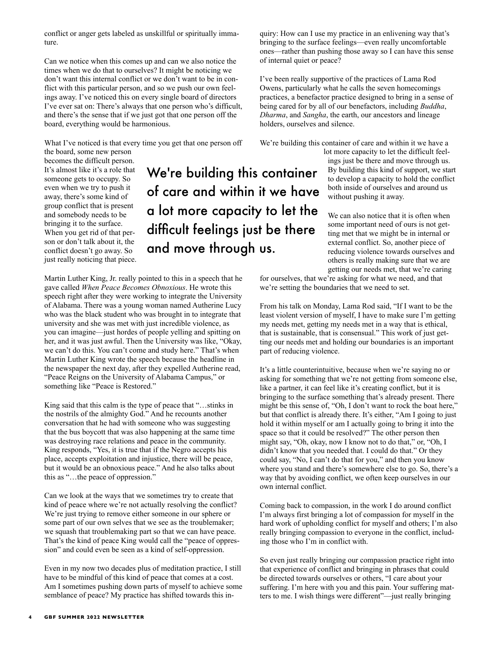conflict or anger gets labeled as unskillful or spiritually immature.

Can we notice when this comes up and can we also notice the times when we do that to ourselves? It might be noticing we don't want this internal conflict or we don't want to be in conflict with this particular person, and so we push our own feelings away. I've noticed this on every single board of directors I've ever sat on: There's always that one person who's difficult, and there's the sense that if we just got that one person off the board, everything would be harmonious.

What I've noticed is that every time you get that one person off

the board, some new person becomes the difficult person. It's almost like it's a role that someone gets to occupy. So even when we try to push it away, there's some kind of group conflict that is present and somebody needs to be bringing it to the surface. When you get rid of that person or don't talk about it, the conflict doesn't go away. So just really noticing that piece.

We're building this container of care and within it we have a lot more capacity to let the difficult feelings just be there and move through us.

Martin Luther King, Jr. really pointed to this in a speech that he gave called *When Peace Becomes Obnoxious*. He wrote this speech right after they were working to integrate the University of Alabama. There was a young woman named Autherine Lucy who was the black student who was brought in to integrate that university and she was met with just incredible violence, as you can imagine—just hordes of people yelling and spitting on her, and it was just awful. Then the University was like, "Okay, we can't do this. You can't come and study here." That's when Martin Luther King wrote the speech because the headline in the newspaper the next day, after they expelled Autherine read, "Peace Reigns on the University of Alabama Campus," or something like "Peace is Restored."

King said that this calm is the type of peace that "…stinks in the nostrils of the almighty God." And he recounts another conversation that he had with someone who was suggesting that the bus boycott that was also happening at the same time was destroying race relations and peace in the community. King responds, "Yes, it is true that if the Negro accepts his place, accepts exploitation and injustice, there will be peace, but it would be an obnoxious peace." And he also talks about this as "…the peace of oppression."

Can we look at the ways that we sometimes try to create that kind of peace where we're not actually resolving the conflict? We're just trying to remove either someone in our sphere or some part of our own selves that we see as the troublemaker; we squash that troublemaking part so that we can have peace. That's the kind of peace King would call the "peace of oppression" and could even be seen as a kind of self-oppression.

Even in my now two decades plus of meditation practice, I still have to be mindful of this kind of peace that comes at a cost. Am I sometimes pushing down parts of myself to achieve some semblance of peace? My practice has shifted towards this inquiry: How can I use my practice in an enlivening way that's bringing to the surface feelings—even really uncomfortable ones—rather than pushing those away so I can have this sense of internal quiet or peace?

I've been really supportive of the practices of Lama Rod Owens, particularly what he calls the seven homecomings practices, a benefactor practice designed to bring in a sense of being cared for by all of our benefactors, including *Buddha*, *Dharma*, and *Sangha*, the earth, our ancestors and lineage holders, ourselves and silence.

We're building this container of care and within it we have a

lot more capacity to let the difficult feelings just be there and move through us. By building this kind of support, we start to develop a capacity to hold the conflict both inside of ourselves and around us without pushing it away.

We can also notice that it is often when some important need of ours is not getting met that we might be in internal or external conflict. So, another piece of reducing violence towards ourselves and others is really making sure that we are getting our needs met, that we're caring

for ourselves, that we're asking for what we need, and that we're setting the boundaries that we need to set.

From his talk on Monday, Lama Rod said, "If I want to be the least violent version of myself, I have to make sure I'm getting my needs met, getting my needs met in a way that is ethical, that is sustainable, that is consensual." This work of just getting our needs met and holding our boundaries is an important part of reducing violence.

It's a little counterintuitive, because when we're saying no or asking for something that we're not getting from someone else, like a partner, it can feel like it's creating conflict, but it is bringing to the surface something that's already present. There might be this sense of, "Oh, I don't want to rock the boat here," but that conflict is already there. It's either, "Am I going to just hold it within myself or am I actually going to bring it into the space so that it could be resolved?" The other person then might say, "Oh, okay, now I know not to do that," or, "Oh, I didn't know that you needed that. I could do that." Or they could say, "No, I can't do that for you," and then you know where you stand and there's somewhere else to go. So, there's a way that by avoiding conflict, we often keep ourselves in our own internal conflict.

Coming back to compassion, in the work I do around conflict I'm always first bringing a lot of compassion for myself in the hard work of upholding conflict for myself and others; I'm also really bringing compassion to everyone in the conflict, including those who I'm in conflict with.

So even just really bringing our compassion practice right into that experience of conflict and bringing in phrases that could be directed towards ourselves or others, "I care about your suffering. I'm here with you and this pain. Your suffering matters to me. I wish things were different"—just really bringing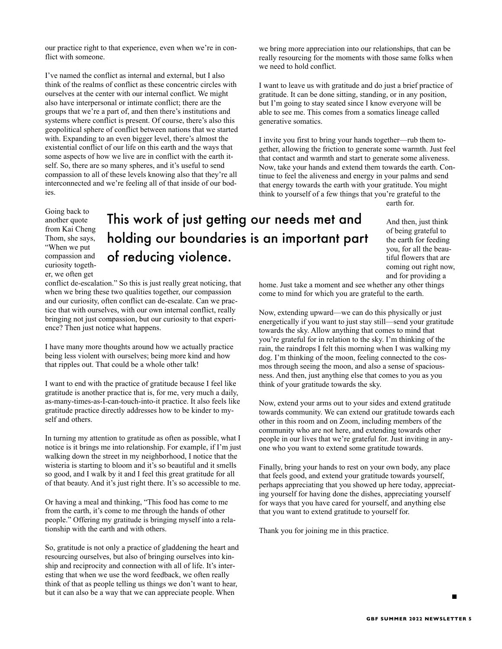our practice right to that experience, even when we're in conflict with someone.

I've named the conflict as internal and external, but I also think of the realms of conflict as these concentric circles with ourselves at the center with our internal conflict. We might also have interpersonal or intimate conflict; there are the groups that we're a part of, and then there's institutions and systems where conflict is present. Of course, there's also this geopolitical sphere of conflict between nations that we started with. Expanding to an even bigger level, there's almost the existential conflict of our life on this earth and the ways that some aspects of how we live are in conflict with the earth itself. So, there are so many spheres, and it's useful to send compassion to all of these levels knowing also that they're all interconnected and we're feeling all of that inside of our bodies.

Going back to another quote from Kai Cheng Thom, she says, "When we put compassion and curiosity together, we often get

# This work of just getting our needs met and holding our boundaries is an important part of reducing violence.

conflict de-escalation." So this is just really great noticing, that when we bring these two qualities together, our compassion and our curiosity, often conflict can de-escalate. Can we practice that with ourselves, with our own internal conflict, really bringing not just compassion, but our curiosity to that experience? Then just notice what happens.

I have many more thoughts around how we actually practice being less violent with ourselves; being more kind and how that ripples out. That could be a whole other talk!

I want to end with the practice of gratitude because I feel like gratitude is another practice that is, for me, very much a daily, as-many-times-as-I-can-touch-into-it practice. It also feels like gratitude practice directly addresses how to be kinder to myself and others.

In turning my attention to gratitude as often as possible, what I notice is it brings me into relationship. For example, if I'm just walking down the street in my neighborhood, I notice that the wisteria is starting to bloom and it's so beautiful and it smells so good, and I walk by it and I feel this great gratitude for all of that beauty. And it's just right there. It's so accessible to me.

Or having a meal and thinking, "This food has come to me from the earth, it's come to me through the hands of other people." Offering my gratitude is bringing myself into a relationship with the earth and with others.

So, gratitude is not only a practice of gladdening the heart and resourcing ourselves, but also of bringing ourselves into kinship and reciprocity and connection with all of life. It's interesting that when we use the word feedback, we often really think of that as people telling us things we don't want to hear, but it can also be a way that we can appreciate people. When

we bring more appreciation into our relationships, that can be really resourcing for the moments with those same folks when we need to hold conflict.

I want to leave us with gratitude and do just a brief practice of gratitude. It can be done sitting, standing, or in any position, but I'm going to stay seated since I know everyone will be able to see me. This comes from a somatics lineage called generative somatics.

I invite you first to bring your hands together—rub them together, allowing the friction to generate some warmth. Just feel that contact and warmth and start to generate some aliveness. Now, take your hands and extend them towards the earth. Continue to feel the aliveness and energy in your palms and send that energy towards the earth with your gratitude. You might think to yourself of a few things that you're grateful to the earth for.

And then, just think of being grateful to the earth for feeding you, for all the beautiful flowers that are coming out right now, and for providing a

home. Just take a moment and see whether any other things come to mind for which you are grateful to the earth.

Now, extending upward—we can do this physically or just energetically if you want to just stay still—send your gratitude towards the sky. Allow anything that comes to mind that you're grateful for in relation to the sky. I'm thinking of the rain, the raindrops I felt this morning when I was walking my dog. I'm thinking of the moon, feeling connected to the cosmos through seeing the moon, and also a sense of spaciousness. And then, just anything else that comes to you as you think of your gratitude towards the sky.

Now, extend your arms out to your sides and extend gratitude towards community. We can extend our gratitude towards each other in this room and on Zoom, including members of the community who are not here, and extending towards other people in our lives that we're grateful for. Just inviting in anyone who you want to extend some gratitude towards.

Finally, bring your hands to rest on your own body, any place that feels good, and extend your gratitude towards yourself, perhaps appreciating that you showed up here today, appreciating yourself for having done the dishes, appreciating yourself for ways that you have cared for yourself, and anything else that you want to extend gratitude to yourself for.

Thank you for joining me in this practice.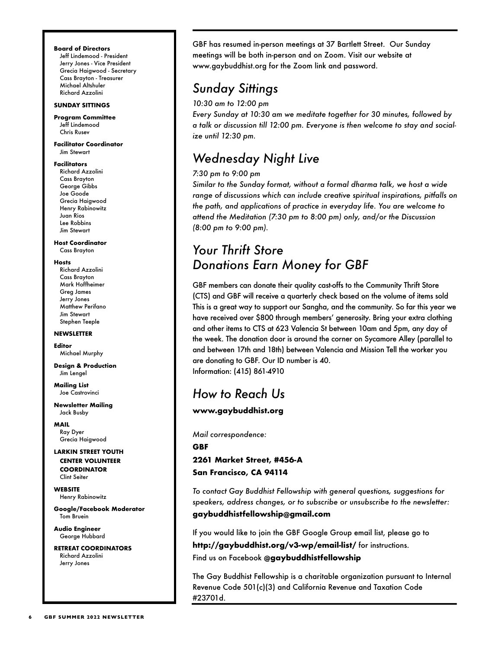## **Board of Directors**

Jeff Lindemood - President Jerry Jones - Vice President Grecia Haigwood - Secretary Cass Brayton - Treasurer Michael Altshuler Richard Azzolini

## **SUNDAY SITTINGS**

**Program Committee** Jeff Lindemood Chris Rusev

**Facilitator Coordinator** Jim Stewart

## **Facilitators**

Richard Azzolini Cass Brayton George Gibbs Joe Goode Grecia Haigwood Henry Rabinowitz Juan Rios Lee Robbins Jim Stewart

**Host Coordinator** Cass Brayton

## **Hosts**

Richard Azzolini Cass Brayton Mark Hoffheimer Greg James Jerry Jones Matthew Perifano Jim Stewart Stephen Teeple

## **NEWSLETTER**

**Editor** Michael Murphy

**Design & Production** Jim Lengel

**Mailing List** Joe Castrovinci

**Newsletter Mailing** Jack Busby

**MAIL** Ray Dyer Grecia Haigwood

## **LARKIN STREET YOUTH CENTER VOLUNTEER COORDINATOR**  Clint Seiter

**WEBSITE** Henry Rabinowitz

**Google/Facebook Moderator** Tom Bruein

**Audio Engineer** George Hubbard

**RETREAT COORDINATORS** Richard Azzolini Jerry Jones

GBF has resumed in-person meetings at 37 Bartlett Street. Our Sunday meetings will be both in-person and on Zoom. Visit our website at www.gaybuddhist.org for the Zoom link and password.

## *Sunday Sittings*

*10:30 am to 12:00 pm*

*Every Sunday at 10:30 am we meditate together for 30 minutes, followed by a talk or discussion till 12:00 pm. Everyone is then welcome to stay and socialize until 12:30 pm.*

## *Wednesday Night Live*

## *7:30 pm to 9:00 pm*

*Similar to the Sunday format, without a formal dharma talk, we host a wide range of discussions which can include creative spiritual inspirations, pitfalls on the path, and applications of practice in everyday life. You are welcome to attend the Meditation (7:30 pm to 8:00 pm) only, and/or the Discussion (8:00 pm to 9:00 pm).*

## *Your Thrift Store Donations Earn Money for GBF*

GBF members can donate their quality cast-offs to the Community Thrift Store (CTS) and GBF will receive a quarterly check based on the volume of items sold This is a great way to support our Sangha, and the community. So far this year we have received over \$800 through members' generosity. Bring your extra clothing and other items to CTS at 623 Valencia St between 10am and 5pm, any day of the week. The donation door is around the corner on Sycamore Alley (parallel to and between 17th and 18th) between Valencia and Mission Tell the worker you are donating to GBF. Our ID number is 40. Information: (415) 861-4910

## *How to Reach Us*

**www.gaybuddhist.org**

*Mail correspondence:* **GBF**

**2261 Market Street, #456-A San Francisco, CA 94114**

*To contact Gay Buddhist Fellowship with general questions, suggestions for speakers, address changes, or to subscribe or unsubscribe to the newsletter:* **gaybuddhistfellowship@gmail.com**

If you would like to join the GBF Google Group email list, please go to **http://gaybuddhist.org/v3-wp/email-list/** for instructions. Find us on Facebook **@gaybuddhistfellowship**

The Gay Buddhist Fellowship is a charitable organization pursuant to Internal Revenue Code 501(c)(3) and California Revenue and Taxation Code #23701d.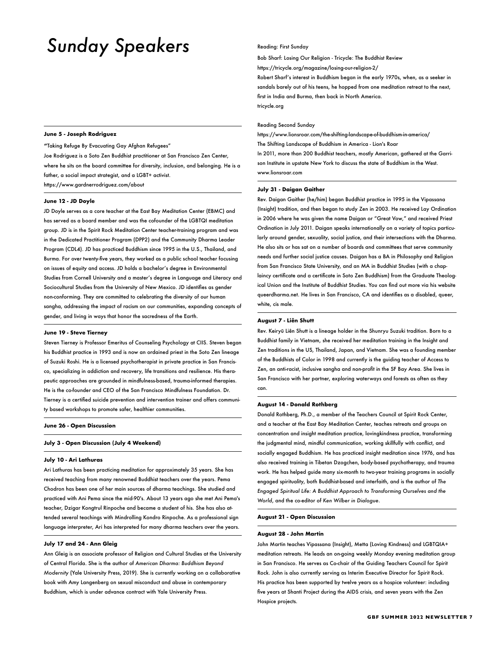# *Sunday Speakers*

## **June 5 - Joseph Rodriguez**

**"**Taking Refuge By Evacuating Gay Afghan Refugees"

Joe Rodriguez is a Soto Zen Buddhist practitioner at San Francisco Zen Center, where he sits on the board committee for diversity, inclusion, and belonging. He is a father, a social impact strategist, and a LGBT+ activist. https://www.gardnerrodriguez.com/about

#### **June 12 - JD Doyle**

JD Doyle serves as a core teacher at the East Bay Meditation Center (EBMC) and has served as a board member and was the cofounder of the LGBTQI meditation group. JD is in the Spirit Rock Meditation Center teacher-training program and was in the Dedicated Practitioner Program (DPP2) and the Community Dharma Leader Program (CDL4). JD has practiced Buddhism since 1995 in the U.S., Thailand, and Burma. For over twenty-five years, they worked as a public school teacher focusing on issues of equity and access. JD holds a bachelor's degree in Environmental Studies from Cornell University and a master's degree in Language and Literacy and Sociocultural Studies from the University of New Mexico. JD identifies as gender non-conforming. They are committed to celebrating the diversity of our human sangha, addressing the impact of racism on our communities, expanding concepts of gender, and living in ways that honor the sacredness of the Earth.

## **June 19 - Steve Tierney**

Steven Tierney is Professor Emeritus of Counseling Psychology at CIIS. Steven began his Buddhist practice in 1993 and is now an ordained priest in the Soto Zen lineage of Suzuki Roshi. He is a licensed psychotherapist in private practice in San Francisco, specializing in addiction and recovery, life transitions and resilience. His therapeutic approaches are grounded in mindfulness-based, trauma-informed therapies. He is the co-founder and CEO of the San Francisco Mindfulness Foundation. Dr. Tierney is a certified suicide prevention and intervention trainer and offers community based workshops to promote safer, healthier communities.

## **June 26 - Open Discussion**

**July 3 - Open Discussion (July 4 Weekend)**

## **July 10 - Ari Lathuras**

Ari Lathuras has been practicing meditation for approximately 35 years. She has received teaching from many renowned Buddhist teachers over the years. Pema Chodron has been one of her main sources of dharma teachings. She studied and practiced with Ani Pema since the mid-90's. About 13 years ago she met Ani Pema's teacher, Dzigar Kongtrul Rinpoche and became a student of his. She has also attended several teachings with Mindrolling Kondro Rinpoche. As a professional sign language interpreter, Ari has interpreted for many dharma teachers over the years.

## **July 17 and 24 - Ann Gleig**

Ann Gleig is an associate professor of Religion and Cultural Studies at the University of Central Florida. She is the author of *American Dharma: Buddhism Beyond Modernity* (Yale University Press, 2019). She is currently working on a collaborative book with Amy Langenberg on sexual misconduct and abuse in contemporary Buddhism, which is under advance contract with Yale University Press.

#### Reading: First Sunday

Bob Sharf: Losing Our Religion - Tricycle: The Buddhist Review

https://tricycle.org/magazine/losing-our-religion-2/

Robert Sharf's interest in Buddhism began in the early 1970s, when, as a seeker in sandals barely out of his teens, he hopped from one meditation retreat to the next, first in India and Burma, then back in North America. tricycle.org

### Reading Second Sunday

https://www.lionsroar.com/the-shifting-landscape-of-buddhism-in-america/ The Shifting Landscape of Buddhism in America - Lion's Roar

In 2011, more than 200 Buddhist teachers, mostly American, gathered at the Garrison Institute in upstate New York to discuss the state of Buddhism in the West. www.lionsroar.com

## **July 31 - Daigan Gaither**

Rev. Daigan Gaither (he/him) began Buddhist practice in 1995 in the Vipassana (Insight) tradition, and then began to study Zen in 2003. He received Lay Ordination in 2006 where he was given the name Daigan or "Great Vow," and received Priest Ordination in July 2011. Daigan speaks internationally on a variety of topics particularly around gender, sexuality, social justice, and their intersections with the Dharma. He also sits or has sat on a number of boards and committees that serve community needs and further social justice causes. Daigan has a BA in Philosophy and Religion from San Francisco State University, and an MA in Buddhist Studies (with a chaplaincy certificate and a certificate in Soto Zen Buddhism) from the Graduate Theological Union and the Institute of Buddhist Studies. You can find out more via his website queerdharma.net. He lives in San Francisco, CA and identifies as a disabled, queer, white, cis male.

## **August 7 - Liên Shutt**

Rev. Keiryū Liên Shutt is a lineage holder in the Shunryu Suzuki tradition. Born to a Buddhist family in Vietnam, she received her meditation training in the Insight and Zen traditions in the US, Thailand, Japan, and Vietnam. She was a founding member of the Buddhists of Color in 1998 and currently is the guiding teacher of Access to Zen, an anti-racist, inclusive sangha and non-profit in the SF Bay Area. She lives in San Francisco with her partner, exploring waterways and forests as often as they can.

## **August 14 - Donald Rothberg**

Donald Rothberg, Ph.D., a member of the Teachers Council at Spirit Rock Center, and a teacher at the East Bay Meditation Center, teaches retreats and groups on concentration and insight meditation practice, lovingkindness practice, transforming the judgmental mind, mindful communication, working skillfully with conflict, and socially engaged Buddhism. He has practiced insight meditation since 1976, and has also received training in Tibetan Dzogchen, body-based psychotherapy, and trauma work. He has helped guide many six-month to two-year training programs in socially engaged spirituality, both Buddhist-based and interfaith, and is the author of *The Engaged Spiritual Life: A Buddhist Approach to Transforming Ourselves and the World*, and the co-editor of *Ken Wilber in Dialogue*.

### **August 21 - Open Discussion**

#### **August 28 - John Martin**

John Martin teaches Vipassana (Insight), Metta (Loving Kindness) and LGBTQIA+ meditation retreats. He leads an on-going weekly Monday evening meditation group in San Francisco. He serves as Co-chair of the Guiding Teachers Council for Spirit Rock. John is also currently serving as Interim Executive Director for Spirit Rock. His practice has been supported by twelve years as a hospice volunteer: including five years at Shanti Project during the AIDS crisis, and seven years with the Zen Hospice projects.